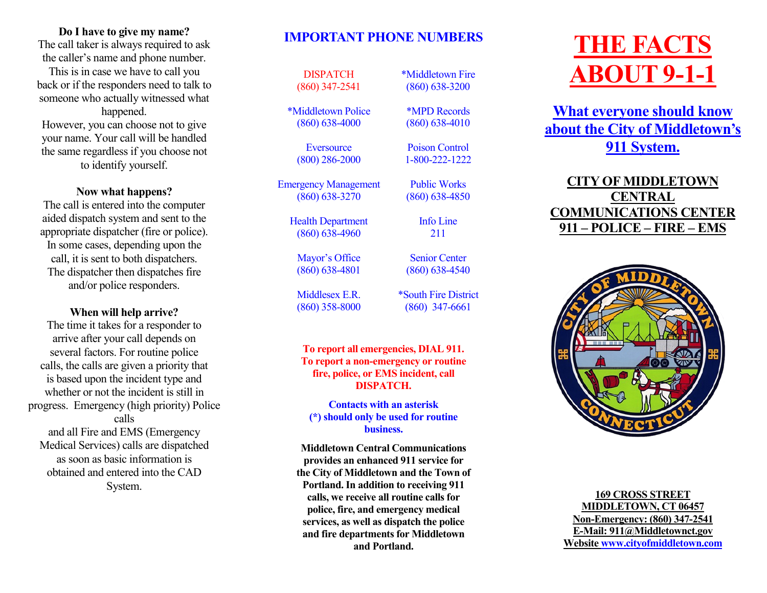#### **Do I have to give my name?**

The call taker is always required to ask the caller's name and phone number.

This is in case we have to call you back or if the responders need to talk to someone who actually witnessed what happened.

However, you can choose not to give your name. Your call will be handled the same regardless if you choose not to identify yourself.

## **Now what happens?**

The call is entered into the computer aided dispatch system and sent to the appropriate dispatcher (fire or police). In some cases, depending upon the call, it is sent to both dispatchers. The dispatcher then dispatches fire and/or police responders.

## **When will help arrive?**

The time it takes for a responder to arrive after your call depends on several factors. For routine police calls, the calls are given a priority that is based upon the incident type and whether or not the incident is still in progress. Emergency (high priority) Police calls and all Fire and EMS (Emergency Medical Services) calls are dispatched as soon as basic information is obtained and entered into the CAD System.

# **IMPORTANT PHONE NUMBERS**

**DISPATCH** (860) 347-2541

\*Middletown Police (860) 638-4000

> **Eversource** (800) 286-2000

Emergency Management (860) 638-3270

> Health Department (860) 638-4960

Mayor's Office (860) 638-4801

Middlesex E.R. (860) 358-8000 \*South Fire District (860) 347-6661

\*Middletown Fire (860) 638-3200

\*MPD Records (860) 638-4010

Poison Control 1-800-222-1222

Public Works (860) 638-4850

> Info Line 211

Senior Center (860) 638-4540

**To report all emergencies, DIAL 911. To report a non-emergency or routine fire, police, or EMS incident, call DISPATCH.** 

**Contacts with an asterisk (\*) should only be used for routine business.**

**Middletown Central Communications provides an enhanced 911 service for the City of Middletown and the Town of Portland. In addition to receiving 911 calls, we receive all routine calls for police, fire, and emergency medical services, as well as dispatch the police and fire departments for Middletown and Portland.**

# **THE FACTS ABOUT 9-1-1**

**What everyone should know about the City of Middletown's 911 System.**

## **CITY OF MIDDLETOWN CENTRAL COMMUNICATIONS CENTER 911 – POLICE – FIRE – EMS**



**169 CROSS STREET MIDDLETOWN, CT 06457 Non-Emergency: (860) 347-2541 E-Mail: 911@Middletownct.gov Website [www.cityofmiddletown.com](http://www.cityofmiddletown.com)**